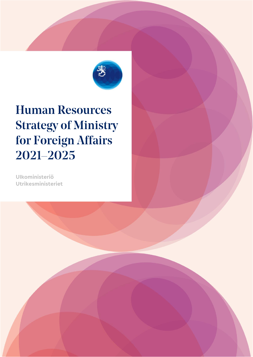

# **Human Resources Strategy of Ministry** for Foreign Affairs 2021-2025

Ulkoministeriö Utrikesministeriet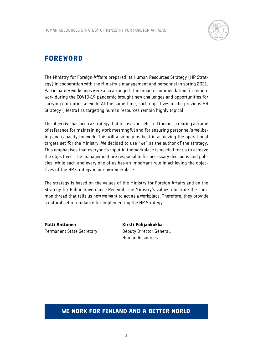

### **FOREWORD**

The Ministry for Foreign Affairs prepared its Human Resources Strategy (HR Strategy) in cooperation with the Ministry's management and personnel in spring 2021. Participatory workshops were also arranged. The broad recommendation for remote work during the COVID-19 pandemic brought new challenges and opportunities for carrying out duties at work. At the same time, such objectives of the previous HR Strategy (Hestra) as targeting human resources remain highly topical.

The objective has been a strategy that focuses on selected themes, creating a frame of reference for maintaining work meaningful and for ensuring personnel's wellbeing and capacity for work. This will also help us best in achieving the operational targets set for the Ministry. We decided to use "we" as the author of the strategy. This emphasises that everyone's input in the workplace is needed for us to achieve the objectives. The management are responsible for necessary decisions and policies, while each and every one of us has an important role in achieving the objectives of the HR strategy in our own workplace.

The strategy is based on the values of the Ministry for Foreign Affairs and on the Strategy for Public Governance Renewal. The Ministry's values illustrate the common thread that tells us how we want to act as a workplace. Therefore, they provide a natural set of guidance for implementing the HR Strategy.

**Matti Anttonen** Permanent State Secretary **Kirsti Pohjankukka** Deputy Director General, Human Resources

#### **WE WORK FOR FINLAND AND A BETTER WORLD**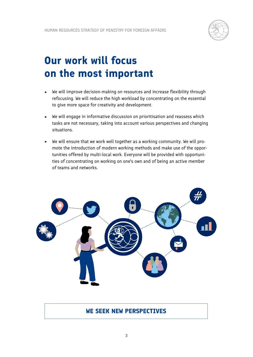

## **Our work will focus on the most important**

- We will improve decision-making on resources and increase flexibility through refocusing. We will reduce the high workload by concentrating on the essential to give more space for creativity and development.
- We will engage in informative discussion on prioritisation and reassess which tasks are not necessary, taking into account various perspectives and changing situations.
- We will ensure that we work well together as a working community. We will promote the introduction of modern working methods and make use of the opportunities offered by multi-local work. Everyone will be provided with opportunities of concentrating on working on one's own and of being an active member of teams and networks.



#### **WE SEEK NEW PERSPECTIVES**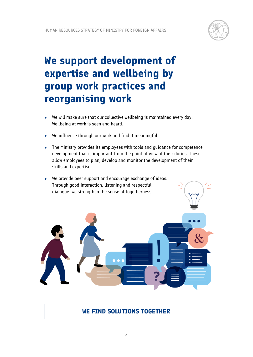

## **We support development of expertise and wellbeing by group work practices and reorganising work**

- We will make sure that our collective wellbeing is maintained every day. Wellbeing at work is seen and heard.
- We influence through our work and find it meaningful.
- The Ministry provides its employees with tools and guidance for competence development that is important from the point of view of their duties. These allow employees to plan, develop and monitor the development of their skills and expertise.
- We provide peer support and encourage exchange of ideas. Through good interaction, listening and respectful dialogue, we strengthen the sense of togetherness.



**WE FIND SOLUTIONS TOGETHER**